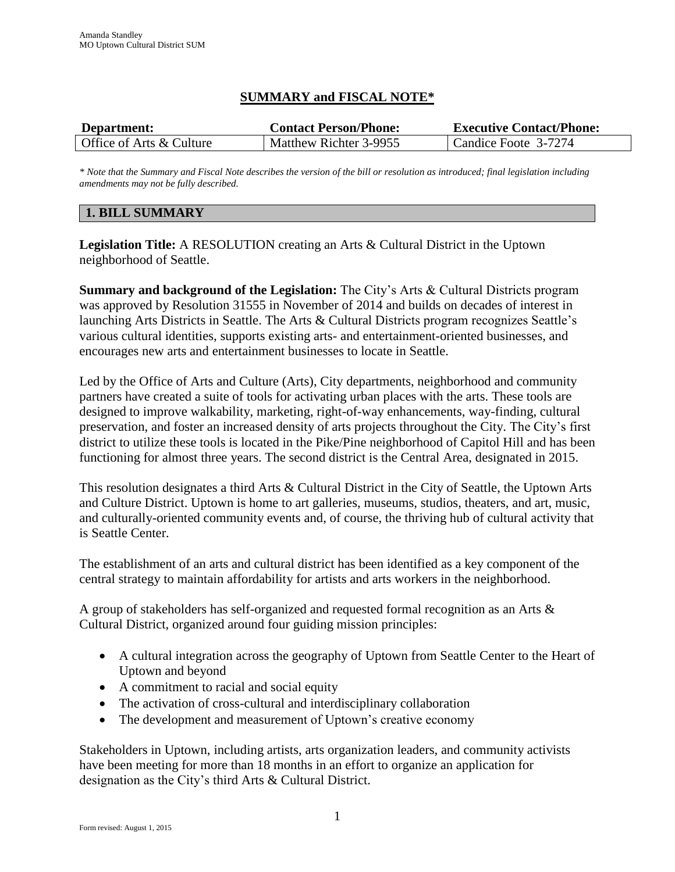# **SUMMARY and FISCAL NOTE\***

| Department:              | <b>Contact Person/Phone:</b> | <b>Executive Contact/Phone:</b> |
|--------------------------|------------------------------|---------------------------------|
| Office of Arts & Culture | Matthew Richter 3-9955       | Candice Foote 3-7274            |

*\* Note that the Summary and Fiscal Note describes the version of the bill or resolution as introduced; final legislation including amendments may not be fully described.*

## **1. BILL SUMMARY**

**Legislation Title:** A RESOLUTION creating an Arts & Cultural District in the Uptown neighborhood of Seattle.

**Summary and background of the Legislation:** The City's Arts & Cultural Districts program was approved by Resolution 31555 in November of 2014 and builds on decades of interest in launching Arts Districts in Seattle. The Arts & Cultural Districts program recognizes Seattle's various cultural identities, supports existing arts- and entertainment-oriented businesses, and encourages new arts and entertainment businesses to locate in Seattle.

Led by the Office of Arts and Culture (Arts), City departments, neighborhood and community partners have created a suite of tools for activating urban places with the arts. These tools are designed to improve walkability, marketing, right-of-way enhancements, way-finding, cultural preservation, and foster an increased density of arts projects throughout the City. The City's first district to utilize these tools is located in the Pike/Pine neighborhood of Capitol Hill and has been functioning for almost three years. The second district is the Central Area, designated in 2015.

This resolution designates a third Arts & Cultural District in the City of Seattle, the Uptown Arts and Culture District. Uptown is home to art galleries, museums, studios, theaters, and art, music, and culturally-oriented community events and, of course, the thriving hub of cultural activity that is Seattle Center.

The establishment of an arts and cultural district has been identified as a key component of the central strategy to maintain affordability for artists and arts workers in the neighborhood.

A group of stakeholders has self-organized and requested formal recognition as an Arts & Cultural District, organized around four guiding mission principles:

- A cultural integration across the geography of Uptown from Seattle Center to the Heart of Uptown and beyond
- A commitment to racial and social equity
- The activation of cross-cultural and interdisciplinary collaboration
- The development and measurement of Uptown's creative economy

Stakeholders in Uptown, including artists, arts organization leaders, and community activists have been meeting for more than 18 months in an effort to organize an application for designation as the City's third Arts & Cultural District.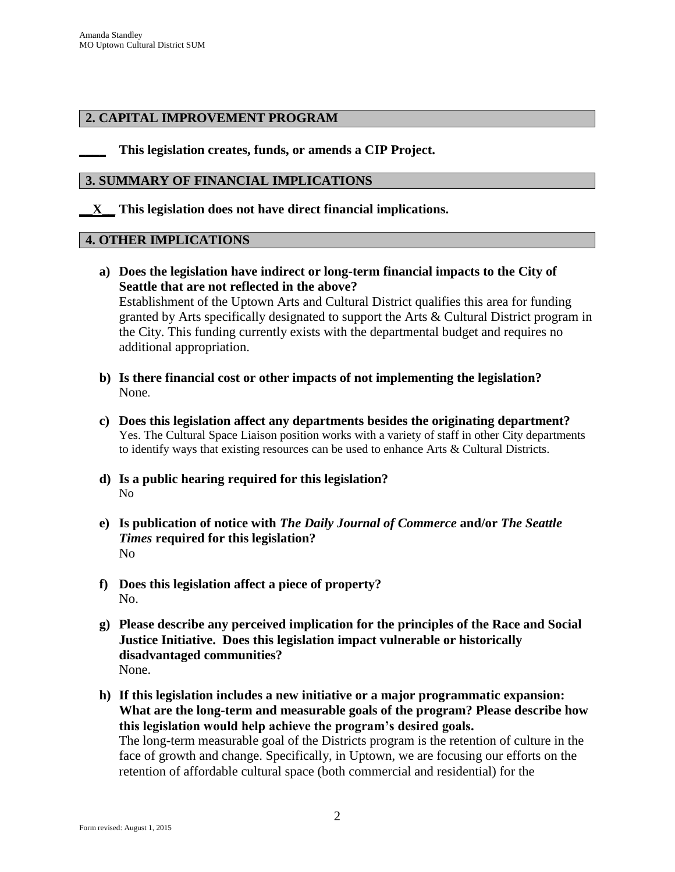### **2. CAPITAL IMPROVEMENT PROGRAM**

**\_\_\_\_ This legislation creates, funds, or amends a CIP Project.** 

#### **3. SUMMARY OF FINANCIAL IMPLICATIONS**

**\_\_X\_\_ This legislation does not have direct financial implications.**

#### **4. OTHER IMPLICATIONS**

- **a) Does the legislation have indirect or long-term financial impacts to the City of Seattle that are not reflected in the above?** Establishment of the Uptown Arts and Cultural District qualifies this area for funding granted by Arts specifically designated to support the Arts & Cultural District program in the City. This funding currently exists with the departmental budget and requires no additional appropriation.
- **b) Is there financial cost or other impacts of not implementing the legislation?** None.
- **c) Does this legislation affect any departments besides the originating department?**  Yes. The Cultural Space Liaison position works with a variety of staff in other City departments to identify ways that existing resources can be used to enhance Arts & Cultural Districts.
- **d) Is a public hearing required for this legislation?**  No
- **e) Is publication of notice with** *The Daily Journal of Commerce* **and/or** *The Seattle Times* **required for this legislation?** No
- **f) Does this legislation affect a piece of property?** No.
- **g) Please describe any perceived implication for the principles of the Race and Social Justice Initiative. Does this legislation impact vulnerable or historically disadvantaged communities?** None.
- **h) If this legislation includes a new initiative or a major programmatic expansion: What are the long-term and measurable goals of the program? Please describe how this legislation would help achieve the program's desired goals.** The long-term measurable goal of the Districts program is the retention of culture in the face of growth and change. Specifically, in Uptown, we are focusing our efforts on the retention of affordable cultural space (both commercial and residential) for the